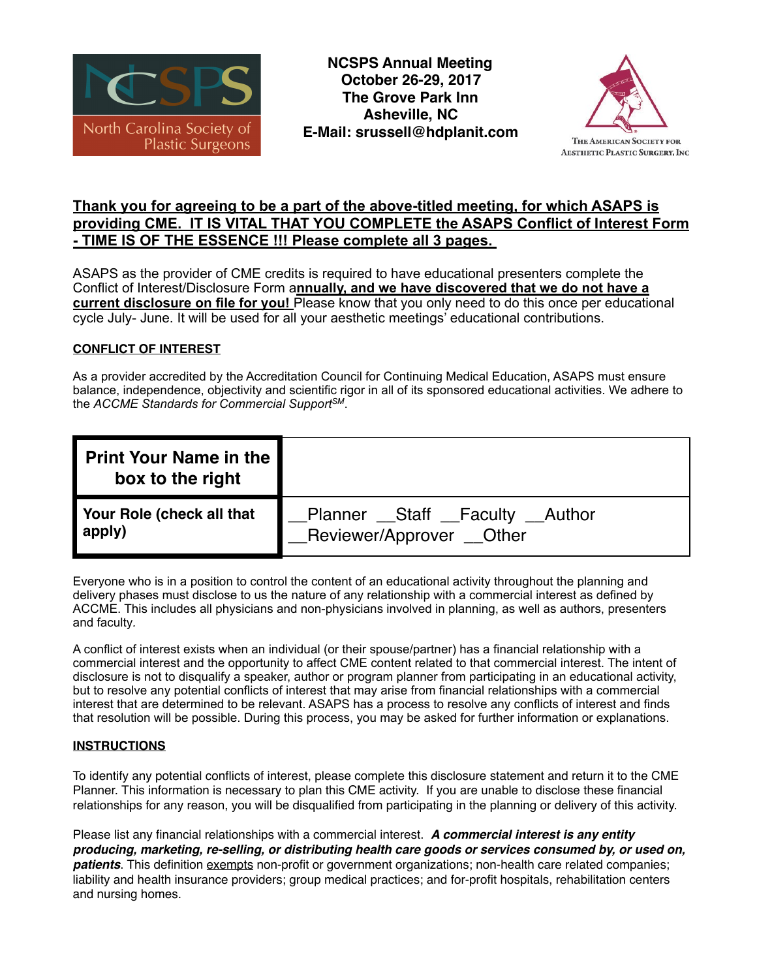

**NCSPS Annual Meeting October 26-29, 2017 The Grove Park Inn Asheville, NC E-Mail: srussell@hdplanit.com**



# **Thank you for agreeing to be a part of the above-titled meeting, for which ASAPS is providing CME. IT IS VITAL THAT YOU COMPLETE the ASAPS Conflict of Interest Form - TIME IS OF THE ESSENCE !!! Please complete all 3 pages.**

ASAPS as the provider of CME credits is required to have educational presenters complete the Conflict of Interest/Disclosure Form a**nnually, and we have discovered that we do not have a current disclosure on file for you!** Please know that you only need to do this once per educational cycle July- June. It will be used for all your aesthetic meetings' educational contributions.

## **CONFLICT OF INTEREST**

As a provider accredited by the Accreditation Council for Continuing Medical Education, ASAPS must ensure balance, independence, objectivity and scientific rigor in all of its sponsored educational activities. We adhere to the *ACCME Standards for Commercial SupportSM*.

| <b>Print Your Name in the</b><br>box to the right |                                     |  |
|---------------------------------------------------|-------------------------------------|--|
| Your Role (check all that                         | _Planner __Staff __Faculty __Author |  |
| apply)                                            | _Reviewer/Approver __Other          |  |

Everyone who is in a position to control the content of an educational activity throughout the planning and delivery phases must disclose to us the nature of any relationship with a commercial interest as defined by ACCME. This includes all physicians and non-physicians involved in planning, as well as authors, presenters and faculty*.*

A conflict of interest exists when an individual (or their spouse/partner) has a financial relationship with a commercial interest and the opportunity to affect CME content related to that commercial interest. The intent of disclosure is not to disqualify a speaker, author or program planner from participating in an educational activity, but to resolve any potential conflicts of interest that may arise from financial relationships with a commercial interest that are determined to be relevant. ASAPS has a process to resolve any conflicts of interest and finds that resolution will be possible. During this process, you may be asked for further information or explanations.

#### **INSTRUCTIONS**

To identify any potential conflicts of interest, please complete this disclosure statement and return it to the CME Planner. This information is necessary to plan this CME activity. If you are unable to disclose these financial relationships for any reason, you will be disqualified from participating in the planning or delivery of this activity.

Please list any financial relationships with a commercial interest. *A commercial interest is any entity producing, marketing, re-selling, or distributing health care goods or services consumed by, or used on, patients*. This definition exempts non-profit or government organizations; non-health care related companies; liability and health insurance providers; group medical practices; and for-profit hospitals, rehabilitation centers and nursing homes.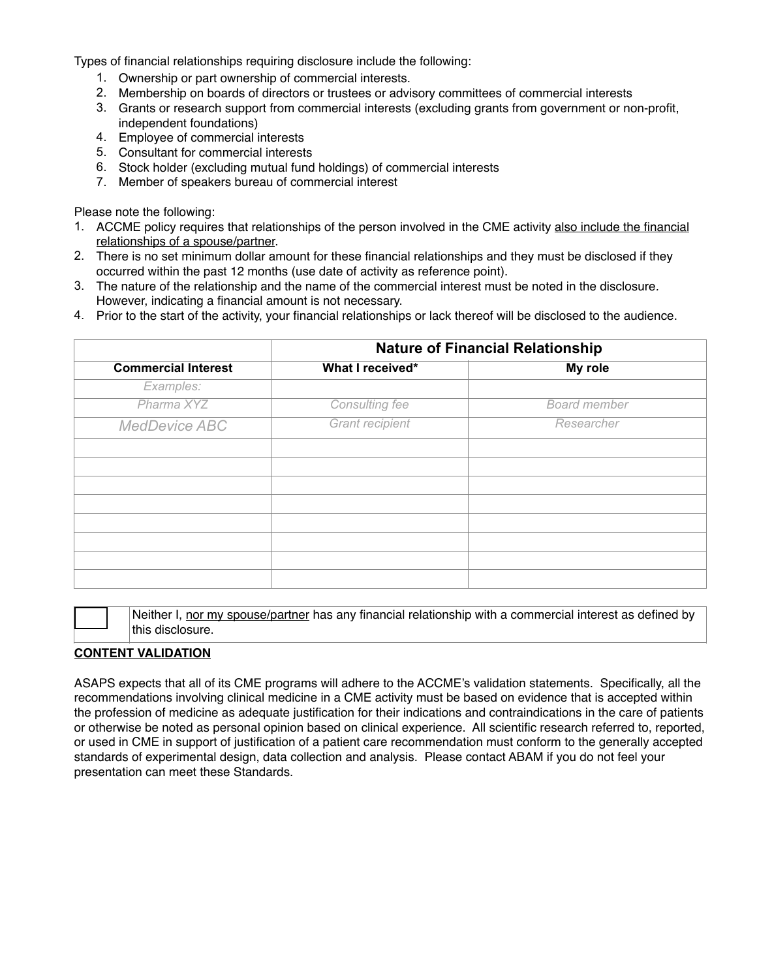Types of financial relationships requiring disclosure include the following:

- 1. Ownership or part ownership of commercial interests.
- 2. Membership on boards of directors or trustees or advisory committees of commercial interests
- 3. Grants or research support from commercial interests (excluding grants from government or non-profit, independent foundations)
- 4. Employee of commercial interests
- 5. Consultant for commercial interests
- 6. Stock holder (excluding mutual fund holdings) of commercial interests
- 7. Member of speakers bureau of commercial interest

Please note the following:

- 1. ACCME policy requires that relationships of the person involved in the CME activity also include the financial relationships of a spouse/partner.
- 2. There is no set minimum dollar amount for these financial relationships and they must be disclosed if they occurred within the past 12 months (use date of activity as reference point).
- 3. The nature of the relationship and the name of the commercial interest must be noted in the disclosure*.*  However, indicating a financial amount is not necessary.
- 4. Prior to the start of the activity, your financial relationships or lack thereof will be disclosed to the audience.

| <b>Commercial Interest</b> | <b>Nature of Financial Relationship</b> |                     |
|----------------------------|-----------------------------------------|---------------------|
|                            | What I received*                        | My role             |
| Examples:                  |                                         |                     |
| Pharma XYZ                 | Consulting fee                          | <b>Board member</b> |
| <b>MedDevice ABC</b>       | <b>Grant recipient</b>                  | Researcher          |
|                            |                                         |                     |
|                            |                                         |                     |
|                            |                                         |                     |
|                            |                                         |                     |
|                            |                                         |                     |
|                            |                                         |                     |
|                            |                                         |                     |
|                            |                                         |                     |

Neither I, nor my spouse/partner has any financial relationship with a commercial interest as defined by this disclosure.

#### **CONTENT VALIDATION**

ASAPS expects that all of its CME programs will adhere to the ACCME's validation statements. Specifically, all the recommendations involving clinical medicine in a CME activity must be based on evidence that is accepted within the profession of medicine as adequate justification for their indications and contraindications in the care of patients or otherwise be noted as personal opinion based on clinical experience. All scientific research referred to, reported, or used in CME in support of justification of a patient care recommendation must conform to the generally accepted standards of experimental design, data collection and analysis. Please contact ABAM if you do not feel your presentation can meet these Standards.